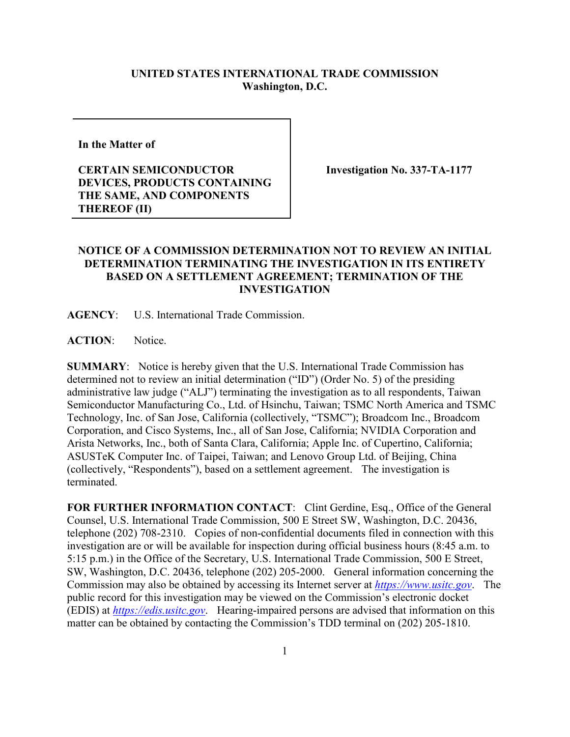## **UNITED STATES INTERNATIONAL TRADE COMMISSION Washington, D.C.**

**In the Matter of** 

## **CERTAIN SEMICONDUCTOR DEVICES, PRODUCTS CONTAINING THE SAME, AND COMPONENTS THEREOF (II)**

**Investigation No. 337-TA-1177**

## **NOTICE OF A COMMISSION DETERMINATION NOT TO REVIEW AN INITIAL DETERMINATION TERMINATING THE INVESTIGATION IN ITS ENTIRETY BASED ON A SETTLEMENT AGREEMENT; TERMINATION OF THE INVESTIGATION**

**AGENCY**: U.S. International Trade Commission.

**ACTION**: Notice.

**SUMMARY**: Notice is hereby given that the U.S. International Trade Commission has determined not to review an initial determination ("ID") (Order No. 5) of the presiding administrative law judge ("ALJ") terminating the investigation as to all respondents, Taiwan Semiconductor Manufacturing Co., Ltd. of Hsinchu, Taiwan; TSMC North America and TSMC Technology, Inc. of San Jose, California (collectively, "TSMC"); Broadcom Inc., Broadcom Corporation, and Cisco Systems, Inc., all of San Jose, California; NVIDIA Corporation and Arista Networks, Inc., both of Santa Clara, California; Apple Inc. of Cupertino, California; ASUSTeK Computer Inc. of Taipei, Taiwan; and Lenovo Group Ltd. of Beijing, China (collectively, "Respondents"), based on a settlement agreement. The investigation is terminated.

**FOR FURTHER INFORMATION CONTACT**: Clint Gerdine, Esq., Office of the General Counsel, U.S. International Trade Commission, 500 E Street SW, Washington, D.C. 20436, telephone (202) 708-2310. Copies of non-confidential documents filed in connection with this investigation are or will be available for inspection during official business hours (8:45 a.m. to 5:15 p.m.) in the Office of the Secretary, U.S. International Trade Commission, 500 E Street, SW, Washington, D.C. 20436, telephone (202) 205-2000. General information concerning the Commission may also be obtained by accessing its Internet server at *[https://www.usitc.gov](https://www.usitc.gov/)*. The public record for this investigation may be viewed on the Commission's electronic docket (EDIS) at *[https://edis.usitc.gov](https://edis.usitc.gov/)*. Hearing-impaired persons are advised that information on this matter can be obtained by contacting the Commission's TDD terminal on (202) 205-1810.